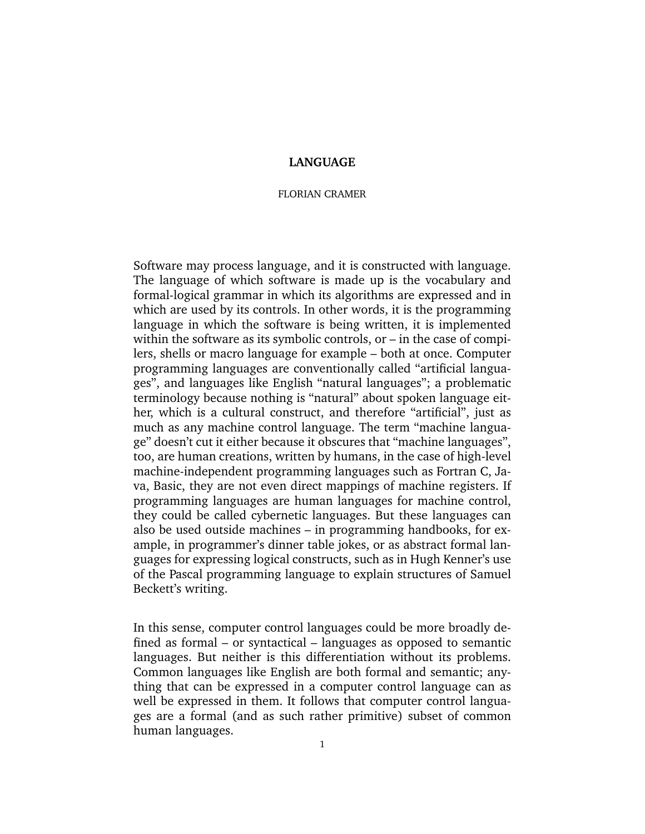# **LANGUAGE**

## FLORIAN CRAMER

Software may process language, and it is constructed with language. The language of which software is made up is the vocabulary and formal-logical grammar in which its algorithms are expressed and in which are used by its controls. In other words, it is the programming language in which the software is being written, it is implemented within the software as its symbolic controls, or – in the case of compilers, shells or macro language for example – both at once. Computer programming languages are conventionally called "artificial languages", and languages like English "natural languages"; a problematic terminology because nothing is "natural" about spoken language either, which is a cultural construct, and therefore "artificial", just as much as any machine control language. The term "machine language" doesn't cut it either because it obscures that "machine languages", too, are human creations, written by humans, in the case of high-level machine-independent programming languages such as Fortran C, Java, Basic, they are not even direct mappings of machine registers. If programming languages are human languages for machine control, they could be called cybernetic languages. But these languages can also be used outside machines – in programming handbooks, for example, in programmer's dinner table jokes, or as abstract formal languages for expressing logical constructs, such as in Hugh Kenner's use of the Pascal programming language to explain structures of Samuel Beckett's writing.

In this sense, computer control languages could be more broadly defined as formal – or syntactical – languages as opposed to semantic languages. But neither is this differentiation without its problems. Common languages like English are both formal and semantic; anything that can be expressed in a computer control language can as well be expressed in them. It follows that computer control languages are a formal (and as such rather primitive) subset of common human languages.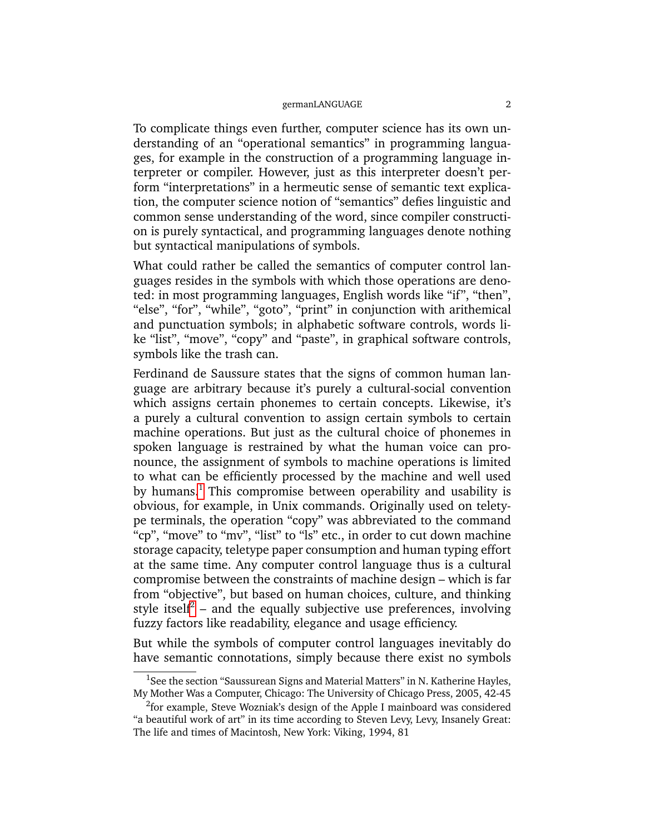To complicate things even further, computer science has its own understanding of an "operational semantics" in programming languages, for example in the construction of a programming language interpreter or compiler. However, just as this interpreter doesn't perform "interpretations" in a hermeutic sense of semantic text explication, the computer science notion of "semantics" defies linguistic and common sense understanding of the word, since compiler construction is purely syntactical, and programming languages denote nothing but syntactical manipulations of symbols.

What could rather be called the semantics of computer control languages resides in the symbols with which those operations are denoted: in most programming languages, English words like "if", "then", "else", "for", "while", "goto", "print" in conjunction with arithemical and punctuation symbols; in alphabetic software controls, words like "list", "move", "copy" and "paste", in graphical software controls, symbols like the trash can.

Ferdinand de Saussure states that the signs of common human language are arbitrary because it's purely a cultural-social convention which assigns certain phonemes to certain concepts. Likewise, it's a purely a cultural convention to assign certain symbols to certain machine operations. But just as the cultural choice of phonemes in spoken language is restrained by what the human voice can pronounce, the assignment of symbols to machine operations is limited to what can be efficiently processed by the machine and well used by humans.<sup>[1](#page-1-0)</sup> This compromise between operability and usability is obvious, for example, in Unix commands. Originally used on teletype terminals, the operation "copy" was abbreviated to the command "cp", "move" to "mv", "list" to "ls" etc., in order to cut down machine storage capacity, teletype paper consumption and human typing effort at the same time. Any computer control language thus is a cultural compromise between the constraints of machine design – which is far from "objective", but based on human choices, culture, and thinking style itself $^2$  $^2$  – and the equally subjective use preferences, involving fuzzy factors like readability, elegance and usage efficiency.

But while the symbols of computer control languages inevitably do have semantic connotations, simply because there exist no symbols

<span id="page-1-0"></span><sup>&</sup>lt;sup>1</sup>See the section "Saussurean Signs and Material Matters" in N. Katherine Hayles, My Mother Was a Computer, Chicago: The University of Chicago Press, 2005, 42-45

<span id="page-1-1"></span><sup>&</sup>lt;sup>2</sup>for example, Steve Wozniak's design of the Apple I mainboard was considered "a beautiful work of art" in its time according to Steven Levy, Levy, Insanely Great: The life and times of Macintosh, New York: Viking, 1994, 81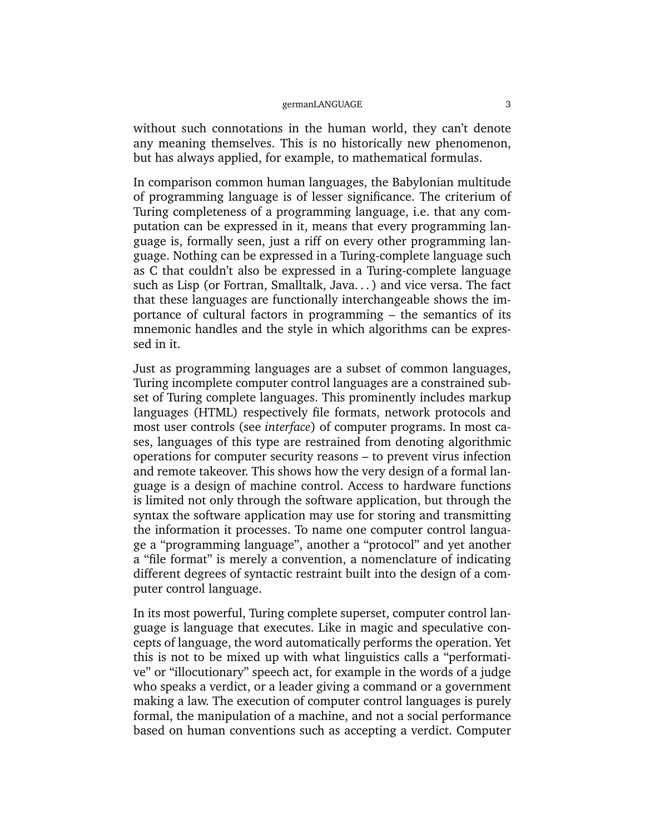without such connotations in the human world, they can't denote any meaning themselves. This is no historically new phenomenon, but has always applied, for example, to mathematical formulas.

In comparison common human languages, the Babylonian multitude of programming language is of lesser significance. The criterium of Turing completeness of a programming language, i.e. that any computation can be expressed in it, means that every programming language is, formally seen, just a riff on every other programming language. Nothing can be expressed in a Turing-complete language such as C that couldn't also be expressed in a Turing-complete language such as Lisp (or Fortran, Smalltalk, Java. . . ) and vice versa. The fact that these languages are functionally interchangeable shows the importance of cultural factors in programming – the semantics of its mnemonic handles and the style in which algorithms can be expressed in it.

Just as programming languages are a subset of common languages, Turing incomplete computer control languages are a constrained subset of Turing complete languages. This prominently includes markup languages (HTML) respectively file formats, network protocols and most user controls (see *interface*) of computer programs. In most cases, languages of this type are restrained from denoting algorithmic operations for computer security reasons – to prevent virus infection and remote takeover. This shows how the very design of a formal language is a design of machine control. Access to hardware functions is limited not only through the software application, but through the syntax the software application may use for storing and transmitting the information it processes. To name one computer control language a "programming language", another a "protocol" and yet another a "file format" is merely a convention, a nomenclature of indicating different degrees of syntactic restraint built into the design of a computer control language.

In its most powerful, Turing complete superset, computer control language is language that executes. Like in magic and speculative concepts of language, the word automatically performs the operation. Yet this is not to be mixed up with what linguistics calls a "performative" or "illocutionary" speech act, for example in the words of a judge who speaks a verdict, or a leader giving a command or a government making a law. The execution of computer control languages is purely formal, the manipulation of a machine, and not a social performance based on human conventions such as accepting a verdict. Computer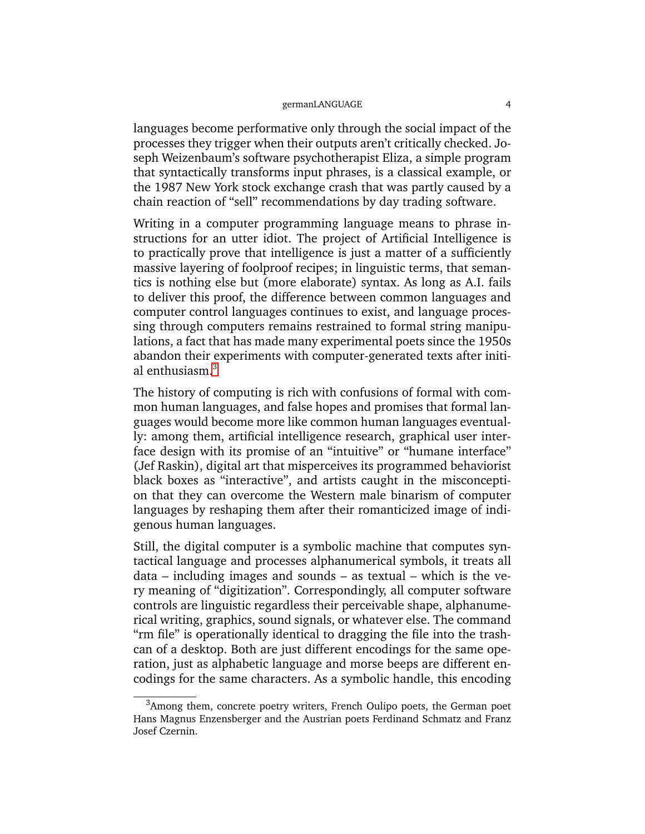languages become performative only through the social impact of the processes they trigger when their outputs aren't critically checked. Joseph Weizenbaum's software psychotherapist Eliza, a simple program that syntactically transforms input phrases, is a classical example, or the 1987 New York stock exchange crash that was partly caused by a chain reaction of "sell" recommendations by day trading software.

Writing in a computer programming language means to phrase instructions for an utter idiot. The project of Artificial Intelligence is to practically prove that intelligence is just a matter of a sufficiently massive layering of foolproof recipes; in linguistic terms, that semantics is nothing else but (more elaborate) syntax. As long as A.I. fails to deliver this proof, the difference between common languages and computer control languages continues to exist, and language processing through computers remains restrained to formal string manipulations, a fact that has made many experimental poets since the 1950s abandon their experiments with computer-generated texts after initi-al enthusiasm.<sup>[3](#page-3-0)</sup>

The history of computing is rich with confusions of formal with common human languages, and false hopes and promises that formal languages would become more like common human languages eventually: among them, artificial intelligence research, graphical user interface design with its promise of an "intuitive" or "humane interface" (Jef Raskin), digital art that misperceives its programmed behaviorist black boxes as "interactive", and artists caught in the misconception that they can overcome the Western male binarism of computer languages by reshaping them after their romanticized image of indigenous human languages.

Still, the digital computer is a symbolic machine that computes syntactical language and processes alphanumerical symbols, it treats all data – including images and sounds – as textual – which is the very meaning of "digitization". Correspondingly, all computer software controls are linguistic regardless their perceivable shape, alphanumerical writing, graphics, sound signals, or whatever else. The command "rm file" is operationally identical to dragging the file into the trashcan of a desktop. Both are just different encodings for the same operation, just as alphabetic language and morse beeps are different encodings for the same characters. As a symbolic handle, this encoding

<span id="page-3-0"></span> $3$ Among them, concrete poetry writers, French Oulipo poets, the German poet Hans Magnus Enzensberger and the Austrian poets Ferdinand Schmatz and Franz Josef Czernin.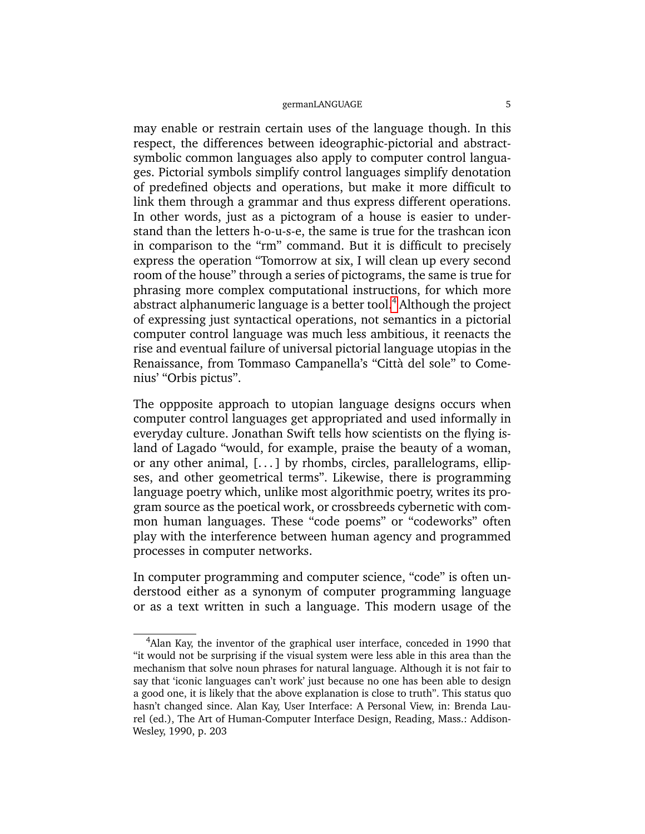may enable or restrain certain uses of the language though. In this respect, the differences between ideographic-pictorial and abstractsymbolic common languages also apply to computer control languages. Pictorial symbols simplify control languages simplify denotation of predefined objects and operations, but make it more difficult to link them through a grammar and thus express different operations. In other words, just as a pictogram of a house is easier to understand than the letters h-o-u-s-e, the same is true for the trashcan icon in comparison to the "rm" command. But it is difficult to precisely express the operation "Tomorrow at six, I will clean up every second room of the house" through a series of pictograms, the same is true for phrasing more complex computational instructions, for which more abstract alphanumeric language is a better tool.<sup>[4](#page-4-0)</sup> Although the project of expressing just syntactical operations, not semantics in a pictorial computer control language was much less ambitious, it reenacts the rise and eventual failure of universal pictorial language utopias in the Renaissance, from Tommaso Campanella's "Città del sole" to Comenius' "Orbis pictus".

The oppposite approach to utopian language designs occurs when computer control languages get appropriated and used informally in everyday culture. Jonathan Swift tells how scientists on the flying island of Lagado "would, for example, praise the beauty of a woman, or any other animal,  $[...]$  by rhombs, circles, parallelograms, ellipses, and other geometrical terms". Likewise, there is programming language poetry which, unlike most algorithmic poetry, writes its program source as the poetical work, or crossbreeds cybernetic with common human languages. These "code poems" or "codeworks" often play with the interference between human agency and programmed processes in computer networks.

In computer programming and computer science, "code" is often understood either as a synonym of computer programming language or as a text written in such a language. This modern usage of the

<span id="page-4-0"></span> $4$ Alan Kay, the inventor of the graphical user interface, conceded in 1990 that "it would not be surprising if the visual system were less able in this area than the mechanism that solve noun phrases for natural language. Although it is not fair to say that 'iconic languages can't work' just because no one has been able to design a good one, it is likely that the above explanation is close to truth". This status quo hasn't changed since. Alan Kay, User Interface: A Personal View, in: Brenda Laurel (ed.), The Art of Human-Computer Interface Design, Reading, Mass.: Addison-Wesley, 1990, p. 203